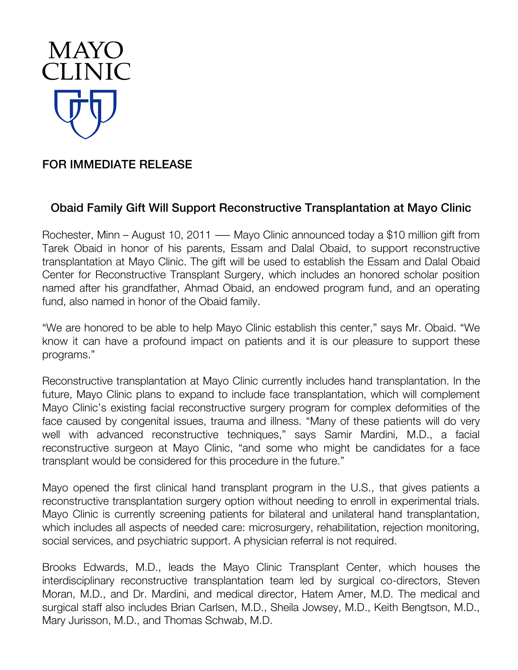

## FOR IMMEDIATE RELEASE

## Obaid Family Gift Will Support Reconstructive Transplantation at Mayo Clinic

Rochester, Minn – August 10, 2011 — Mayo Clinic announced today a \$10 million gift from Tarek Obaid in honor of his parents, Essam and Dalal Obaid, to support reconstructive transplantation at Mayo Clinic. The gift will be used to establish the Essam and Dalal Obaid Center for Reconstructive Transplant Surgery, which includes an honored scholar position named after his grandfather, Ahmad Obaid, an endowed program fund, and an operating fund, also named in honor of the Obaid family.

"We are honored to be able to help Mayo Clinic establish this center," says Mr. Obaid. "We know it can have a profound impact on patients and it is our pleasure to support these programs."

Reconstructive transplantation at Mayo Clinic currently includes hand transplantation. In the future, Mayo Clinic plans to expand to include face transplantation, which will complement Mayo Clinic's existing facial reconstructive surgery program for complex deformities of the face caused by congenital issues, trauma and illness. "Many of these patients will do very well with advanced reconstructive techniques," says Samir Mardini, M.D., a facial reconstructive surgeon at Mayo Clinic, "and some who might be candidates for a face transplant would be considered for this procedure in the future."

Mayo opened the first clinical hand transplant program in the U.S., that gives patients a reconstructive transplantation surgery option without needing to enroll in experimental trials. Mayo Clinic is currently screening patients for bilateral and unilateral hand transplantation, which includes all aspects of needed care: microsurgery, rehabilitation, rejection monitoring, social services, and psychiatric support. A physician referral is not required.

Brooks Edwards, M.D., leads the Mayo Clinic Transplant Center, which houses the interdisciplinary reconstructive transplantation team led by surgical co-directors, Steven Moran, M.D., and Dr. Mardini, and medical director, Hatem Amer, M.D. The medical and surgical staff also includes Brian Carlsen, M.D., Sheila Jowsey, M.D., Keith Bengtson, M.D., Mary Jurisson, M.D., and Thomas Schwab, M.D.